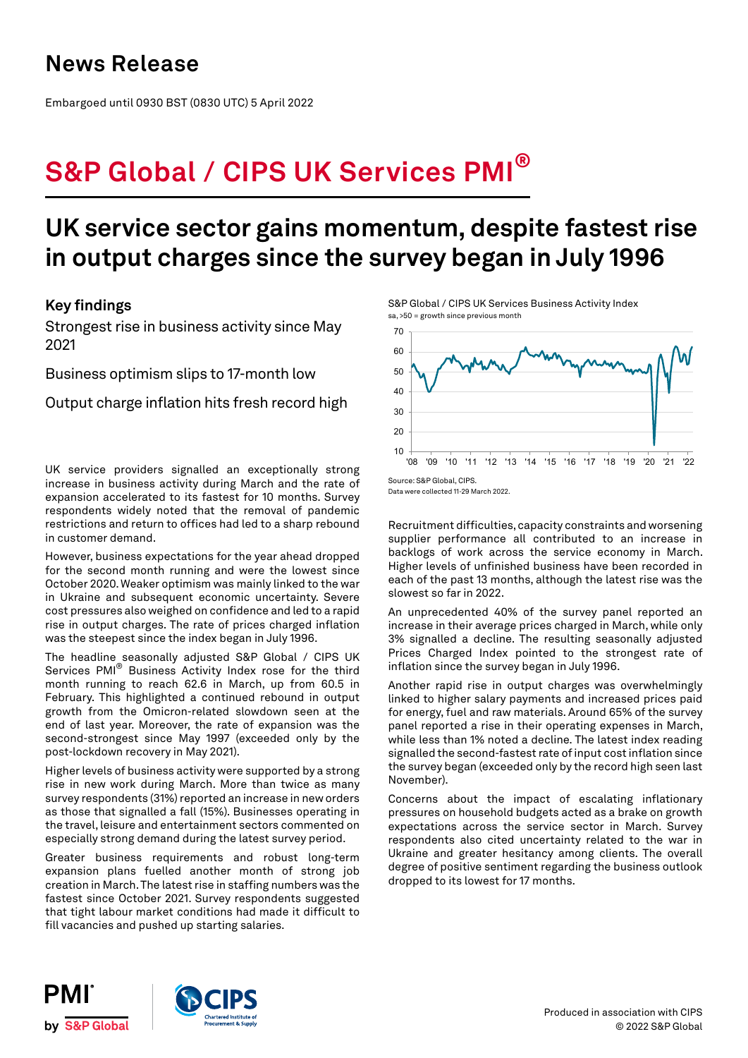# **News Release**

Embargoed until 0930 BST (0830 UTC) 5 April 2022

# **S&P Global / CIPS UK Services PMI®**

# **UK service sector gains momentum, despite fastest rise in output charges since the survey began in July 1996**

## **Key findings**

Strongest rise in business activity since May 2021

Business optimism slips to 17-month low

Output charge inflation hits fresh record high

UK service providers signalled an exceptionally strong increase in business activity during March and the rate of expansion accelerated to its fastest for 10 months. Survey respondents widely noted that the removal of pandemic restrictions and return to offices had led to a sharp rebound in customer demand.

However, business expectations for the year ahead dropped for the second month running and were the lowest since October 2020. Weaker optimism was mainly linked to the war in Ukraine and subsequent economic uncertainty. Severe cost pressures also weighed on confidence and led to a rapid rise in output charges. The rate of prices charged inflation was the steepest since the index began in July 1996.

The headline seasonally adjusted S&P Global / CIPS UK Services PMI® Business Activity Index rose for the third month running to reach 62.6 in March, up from 60.5 in February. This highlighted a continued rebound in output growth from the Omicron-related slowdown seen at the end of last year. Moreover, the rate of expansion was the second-strongest since May 1997 (exceeded only by the post-lockdown recovery in May 2021).

Higher levels of business activity were supported by a strong rise in new work during March. More than twice as many survey respondents (31%) reported an increase in new orders as those that signalled a fall (15%). Businesses operating in the travel, leisure and entertainment sectors commented on especially strong demand during the latest survey period.

Greater business requirements and robust long-term expansion plans fuelled another month of strong job creation in March. The latest rise in staffing numbers was the fastest since October 2021. Survey respondents suggested that tight labour market conditions had made it difficult to fill vacancies and pushed up starting salaries.

S&P Global / CIPS UK Services Business Activity Index sa, >50 = growth since previous month



Data were collected 11-29 March 2022.

Recruitment difficulties, capacity constraints and worsening supplier performance all contributed to an increase in backlogs of work across the service economy in March. Higher levels of unfinished business have been recorded in each of the past 13 months, although the latest rise was the slowest so far in 2022.

An unprecedented 40% of the survey panel reported an increase in their average prices charged in March, while only 3% signalled a decline. The resulting seasonally adjusted Prices Charged Index pointed to the strongest rate of inflation since the survey began in July 1996.

Another rapid rise in output charges was overwhelmingly linked to higher salary payments and increased prices paid for energy, fuel and raw materials. Around 65% of the survey panel reported a rise in their operating expenses in March, while less than 1% noted a decline. The latest index reading signalled the second-fastest rate of input cost inflation since the survey began (exceeded only by the record high seen last November).

Concerns about the impact of escalating inflationary pressures on household budgets acted as a brake on growth expectations across the service sector in March. Survey respondents also cited uncertainty related to the war in Ukraine and greater hesitancy among clients. The overall degree of positive sentiment regarding the business outlook dropped to its lowest for 17 months.

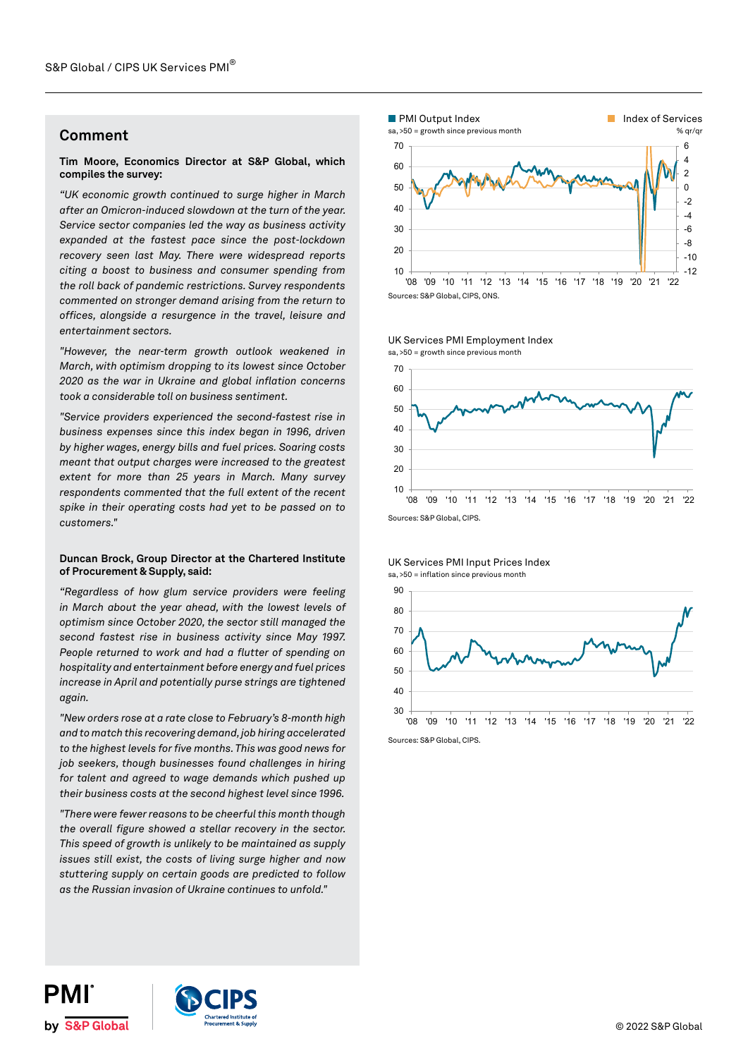### **Comment**

### **Tim Moore, Economics Director at S&P Global, which compiles the survey:**

*"UK economic growth continued to surge higher in March after an Omicron-induced slowdown at the turn of the year. Service sector companies led the way as business activity expanded at the fastest pace since the post-lockdown recovery seen last May. There were widespread reports citing a boost to business and consumer spending from the roll back of pandemic restrictions. Survey respondents commented on stronger demand arising from the return to offices, alongside a resurgence in the travel, leisure and entertainment sectors.* 

*"However, the near-term growth outlook weakened in March, with optimism dropping to its lowest since October 2020 as the war in Ukraine and global inflation concerns took a considerable toll on business sentiment.* 

*"Service providers experienced the second-fastest rise in business expenses since this index began in 1996, driven by higher wages, energy bills and fuel prices. Soaring costs meant that output charges were increased to the greatest extent for more than 25 years in March. Many survey respondents commented that the full extent of the recent spike in their operating costs had yet to be passed on to customers."* 

### **Duncan Brock, Group Director at the Chartered Institute of Procurement & Supply, said:**

*"Regardless of how glum service providers were feeling in March about the year ahead, with the lowest levels of optimism since October 2020, the sector still managed the second fastest rise in business activity since May 1997. People returned to work and had a flutter of spending on hospitality and entertainment before energy and fuel prices increase in April and potentially purse strings are tightened again.*

*"New orders rose at a rate close to February's 8-month high and to match this recovering demand, job hiring accelerated to the highest levels for five months. This was good news for job seekers, though businesses found challenges in hiring for talent and agreed to wage demands which pushed up their business costs at the second highest level since 1996.*

*"There were fewer reasons to be cheerful this month though the overall figure showed a stellar recovery in the sector. This speed of growth is unlikely to be maintained as supply issues still exist, the costs of living surge higher and now stuttering supply on certain goods are predicted to follow as the Russian invasion of Ukraine continues to unfold."*





UK Services PMI Employment Index

### UK Services PMI Input Prices Index sa, >50 = inflation since previous month



Sources: S&P Global, CIPS.